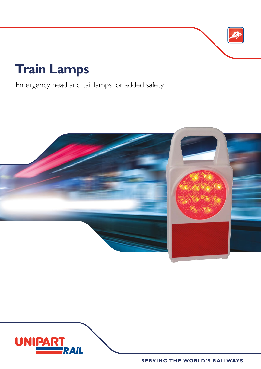# **Train Lamps**

Emergency head and tail lamps for added safety





**SERVING THE WORLD'S RAILWAYS**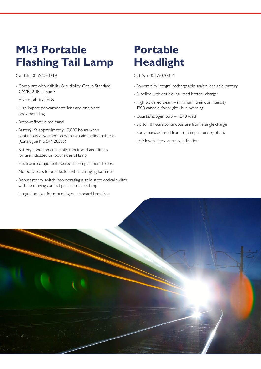## **Mk3 Portable Flashing Tail Lamp**

Cat No 0055/050319

- Compliant with visibility & audibility Group Standard GM/RT2180 : Issue 3
- High reliability LEDs
- High impact polycarbonate lens and one piece body moulding
- Retro-reflective red panel
- Battery life approximately 10,000 hours when continuously switched on with two air alkaline batteries (Catalogue No 54/128366)
- Battery condition constantly monitored and fitness for use indicated on both sides of lamp
- Electronic components sealed in compartment to IP65
- No body seals to be effected when changing batteries
- Robust rotary switch incorporating a solid state optical switch with no moving contact parts at rear of lamp
- Integral bracket for mounting on standard lamp iron

## **Portable Headlight**

Cat No 0017/070014

- Powered by integral rechargeable sealed lead acid battery
- Supplied with double insulated battery charger
- High powered beam minimum luminous intensity 1200 candela, for bright visual warning
- Quartz/halogen bulb 12v 8 watt
- Up to 18 hours continuous use from a single charge
- Body manufactured from high impact xenoy plastic
- LED low battery warning indication

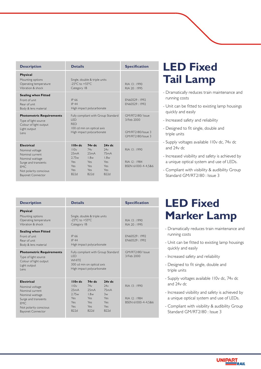| <b>Description</b>                                                                                                                                               | <b>Details</b>                                                                                                             |                                                                | <b>Specification</b>                                          |                                                                          |
|------------------------------------------------------------------------------------------------------------------------------------------------------------------|----------------------------------------------------------------------------------------------------------------------------|----------------------------------------------------------------|---------------------------------------------------------------|--------------------------------------------------------------------------|
| Physical<br>Mounting options<br>Operating temperature<br>Vibration & shock                                                                                       | $-25^{\circ}$ C to $+55^{\circ}$ C.<br>Category IB                                                                         | Single, double & triple units                                  | RIA 13:1990<br>RIA 20: 1995                                   |                                                                          |
| <b>Sealing when Fitted</b><br>Front of unit<br>Rear of unit<br>Body & lens material                                                                              | IP 66<br><b>IP 44</b>                                                                                                      | High impact polycarbonate                                      | FN60529: 1992<br>FN60529: 1992                                |                                                                          |
| <b>Photometric Requirements</b><br>Type of light source<br>Colour of light output<br>Light output<br>l ens                                                       | Fully compliant with Group Standard<br><b>IFD</b><br><b>RFD</b><br>100 cd min on optical axis<br>High impact polycarbonate |                                                                |                                                               | GM/RT2180/ Issue<br>3/Feb 2000<br>GM/RT2180/Issue 3<br>GM/RT2180/Issue 3 |
| <b>Electrical</b><br>Nominal voltage<br>Nominal current<br>Nominal wattage<br>Surge and transients<br>FMC.<br>Not polarity conscious<br><b>Bayonet Connector</b> | 110v dc<br>110v<br>25mA<br>2.75w<br>Yes<br>Yes.<br>Yes.<br>B22d                                                            | $74v$ dc<br>74v<br>25mA<br>1.8w<br>Yes.<br>Yes.<br>Yes<br>B22d | $24v$ dc<br>74v<br>75mA<br>1.8w<br>Yes<br>Yes<br>Yes.<br>B22d | RIA 13:1990<br>RIA 12:1984<br>BSEN 61000-4-4,5&6                         |

| <b>LED Fixed</b> |
|------------------|
| <b>Tail Lamp</b> |

- Dramatically reduces train maintenance and running costs
- Unit can be fitted to existing lamp housings quickly and easily
- Increased safety and reliability
- Designed to fit single, double and triple units
- Supply voltages available 110v dc, 74v dc and 24v dc
- Increased visibility and safety is achieved by a unique optical system and use of LEDs.
- Compliant with visibility & audibility Group Standard GM/RT2180 : Issue 3

| <b>Description</b>                                                                                                                                               | <b>Details</b>                                                                                                               |                                                                | <b>Specification</b>                                       |                                                  |
|------------------------------------------------------------------------------------------------------------------------------------------------------------------|------------------------------------------------------------------------------------------------------------------------------|----------------------------------------------------------------|------------------------------------------------------------|--------------------------------------------------|
| Physical<br>Mounting options<br>Operating temperature<br>Vibration & shock                                                                                       | $-25^{\circ}$ C to $+55^{\circ}$ C.<br>Category IB                                                                           | Single, double & triple units                                  | RIA 13:1990<br>RIA 20: 1995                                |                                                  |
| <b>Sealing when Fitted</b><br>Front of unit<br>Rear of unit<br>Body & lens material                                                                              | <b>IP 66</b><br><b>IP 44</b>                                                                                                 | High impact polycarbonate                                      |                                                            | FN60529: 1992<br>FN60529: 1992                   |
| <b>Photometric Requirements</b><br>Type of light source<br>Colour of light output<br>Light output<br>I ens                                                       | Fully compliant with Group Standard<br><b>IFD</b><br><b>WHITE</b><br>300 cd min on optical axis<br>High impact polycarbonate |                                                                |                                                            | GM/RT2180/ Issue<br>3/Feb 2000                   |
| <b>Electrical</b><br>Nominal voltage<br>Nominal current<br>Nominal wattage<br>Surge and transients<br>FMC.<br>Not polarity conscious<br><b>Bayonet Connector</b> | IIOv dc<br>110v<br>25mA<br>2.75w<br><b>Yes</b><br>Yes.<br>Yes.<br>B22d                                                       | $74v$ dc<br>74v<br>25mA<br>1.8w<br>Yes<br>Yes.<br>Yes.<br>B22d | $24v$ dc<br>74v<br>75mA<br>3w<br>Yes<br>Yes<br>Yes<br>B22d | RIA 13:1990<br>RIA 12:1984<br>BSEN 61000-4-4,5&6 |

#### **LED Fixed Marker Lamp**

- Dramatically reduces train maintenance and running costs
- Unit can be fitted to existing lamp housings quickly and easily
- Increased safety and reliability
- Designed to fit single, double and triple units
- Supply voltages available 110v dc, 74v dc and 24v dc
- Increased visibility and safety is achieved by a unique optical system and use of LEDs.
- Compliant with visibility & audibility Group Standard GM/RT2180 : Issue 3